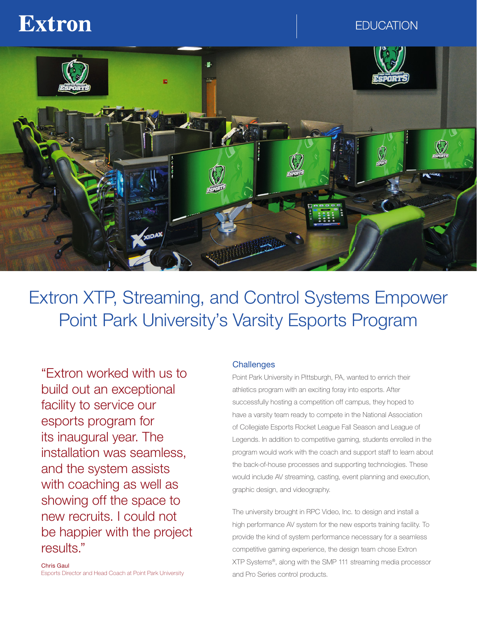# **Extron**

**EDUCATION** 



Extron XTP, Streaming, and Control Systems Empower Point Park University's Varsity Esports Program

"Extron worked with us to build out an exceptional facility to service our esports program for its inaugural year. The installation was seamless, and the system assists with coaching as well as showing off the space to new recruits. I could not be happier with the project results."

Chris Gaul Esports Director and Head Coach at Point Park University

#### **Challenges**

Point Park University in Pittsburgh, PA, wanted to enrich their athletics program with an exciting foray into esports. After successfully hosting a competition off campus, they hoped to have a varsity team ready to compete in the National Association of Collegiate Esports Rocket League Fall Season and League of Legends. In addition to competitive gaming, students enrolled in the program would work with the coach and support staff to learn about the back-of-house processes and supporting technologies. These would include AV streaming, casting, event planning and execution, graphic design, and videography.

The university brought in RPC Video, Inc. to design and install a high performance AV system for the new esports training facility. To provide the kind of system performance necessary for a seamless competitive gaming experience, the design team chose Extron XTP Systems®, along with the SMP 111 streaming media processor and Pro Series control products.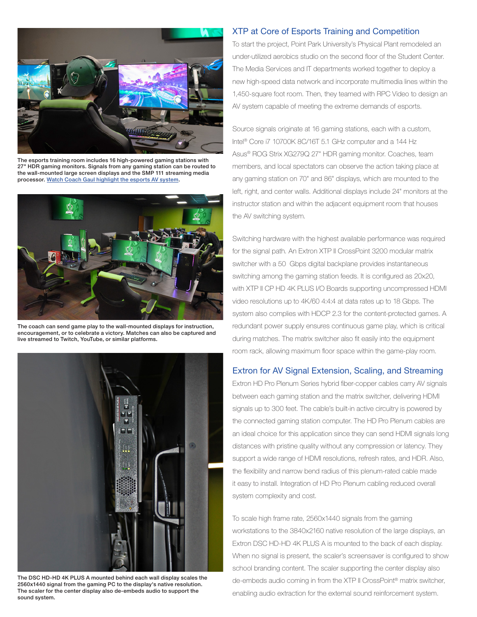

The esports training room includes 16 high-powered gaming stations with 27" HDR gaming monitors. Signals from any gaming station can be routed to the wall-mounted large screen displays and the SMP 111 streaming media processor. [Watch Coach Gaul highlight the esports AV system.](https://www.extron.com/article/ppu#playvideo135716)



The coach can send game play to the wall-mounted displays for instruction, encouragement, or to celebrate a victory. Matches can also be captured and live streamed to Twitch, YouTube, or similar platforms.



The DSC HD‑HD 4K PLUS A mounted behind each wall display scales the 2560x1440 signal from the gaming PC to the display's native resolution. The scaler for the center display also de-embeds audio to support the sound system.

#### XTP at Core of Esports Training and Competition

To start the project, Point Park University's Physical Plant remodeled an under-utilized aerobics studio on the second floor of the Student Center. The Media Services and IT departments worked together to deploy a new high-speed data network and incorporate multimedia lines within the 1,450-square foot room. Then, they teamed with RPC Video to design an AV system capable of meeting the extreme demands of esports.

Source signals originate at 16 gaming stations, each with a custom, Intel® Core i7 10700K 8C/16T 5.1 GHz computer and a 144 Hz Asus® ROG Strix XG279Q 27" HDR gaming monitor. Coaches, team members, and local spectators can observe the action taking place at any gaming station on 70" and 86" displays, which are mounted to the left, right, and center walls. Additional displays include 24" monitors at the instructor station and within the adjacent equipment room that houses the AV switching system.

Switching hardware with the highest available performance was required for the signal path. An Extron XTP II CrossPoint 3200 modular matrix switcher with a 50 Gbps digital backplane provides instantaneous switching among the gaming station feeds. It is configured as 20x20, with XTP II CP HD 4K PLUS I/O Boards supporting uncompressed HDMI video resolutions up to 4K/60 4:4:4 at data rates up to 18 Gbps. The system also complies with HDCP 2.3 for the content-protected games. A redundant power supply ensures continuous game play, which is critical during matches. The matrix switcher also fit easily into the equipment room rack, allowing maximum floor space within the game-play room.

#### Extron for AV Signal Extension, Scaling, and Streaming

Extron HD Pro Plenum Series hybrid fiber-copper cables carry AV signals between each gaming station and the matrix switcher, delivering HDMI signals up to 300 feet. The cable's built-in active circuitry is powered by the connected gaming station computer. The HD Pro Plenum cables are an ideal choice for this application since they can send HDMI signals long distances with pristine quality without any compression or latency. They support a wide range of HDMI resolutions, refresh rates, and HDR. Also, the flexibility and narrow bend radius of this plenum-rated cable made it easy to install. Integration of HD Pro Plenum cabling reduced overall system complexity and cost.

To scale high frame rate, 2560x1440 signals from the gaming workstations to the 3840x2160 native resolution of the large displays, an Extron DSC HD-HD 4K PLUS A is mounted to the back of each display. When no signal is present, the scaler's screensaver is configured to show school branding content. The scaler supporting the center display also de-embeds audio coming in from the XTP II CrossPoint® matrix switcher, enabling audio extraction for the external sound reinforcement system.